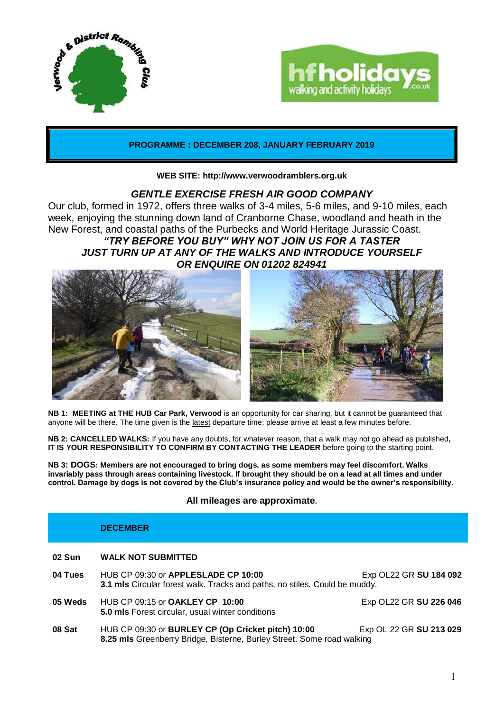



## **PROGRAMME : DECEMBER 208, JANUARY FEBRUARY 2019**

### **WEB SITE: http://www.verwoodramblers.org.uk**

## *GENTLE EXERCISE FRESH AIR GOOD COMPANY*

Our club, formed in 1972, offers three walks of 3-4 miles, 5-6 miles, and 9-10 miles, each week, enjoying the stunning down land of Cranborne Chase, woodland and heath in the New Forest, and coastal paths of the Purbecks and World Heritage Jurassic Coast. *"TRY BEFORE YOU BUY" WHY NOT JOIN US FOR A TASTER JUST TURN UP AT ANY OF THE WALKS AND INTRODUCE YOURSELF OR ENQUIRE ON 01202 824941*



**NB 1: MEETING at THE HUB Car Park, Verwood** is an opportunity for car sharing, but it cannot be guaranteed that anyone will be there. The time given is the latest departure time; please arrive at least a few minutes before.

**NB 2: CANCELLED WALKS:** If you have any doubts, for whatever reason, that a walk may not go ahead as published**, IT IS YOUR RESPONSIBILITY TO CONFIRM BY CONTACTING THE LEADER** before going to the starting point.

**NB 3: DOGS: Members are not encouraged to bring dogs, as some members may feel discomfort. Walks invariably pass through areas containing livestock. If brought they should be on a lead at all times and under control. Damage by dogs is not covered by the Club's insurance policy and would be the owner's responsibility.**

## **All mileages are approximate.**

### **DECEMBER**

# **02 Sun WALK NOT SUBMITTED**

| 04 Tues | HUB CP 09:30 or APPLESLADE CP 10:00<br>3.1 mls Circular forest walk. Tracks and paths, no stiles. Could be muddy.            | Exp OL22 GR SU 184 092  |
|---------|------------------------------------------------------------------------------------------------------------------------------|-------------------------|
| 05 Weds | HUB CP 09:15 or <b>OAKLEY CP 10:00</b><br>5.0 mls Forest circular, usual winter conditions                                   | Exp OL22 GR SU 226 046  |
| 08 Sat  | HUB CP 09:30 or BURLEY CP (Op Cricket pitch) 10:00<br>8.25 mls Greenberry Bridge, Bisterne, Burley Street. Some road walking | Exp OL 22 GR SU 213 029 |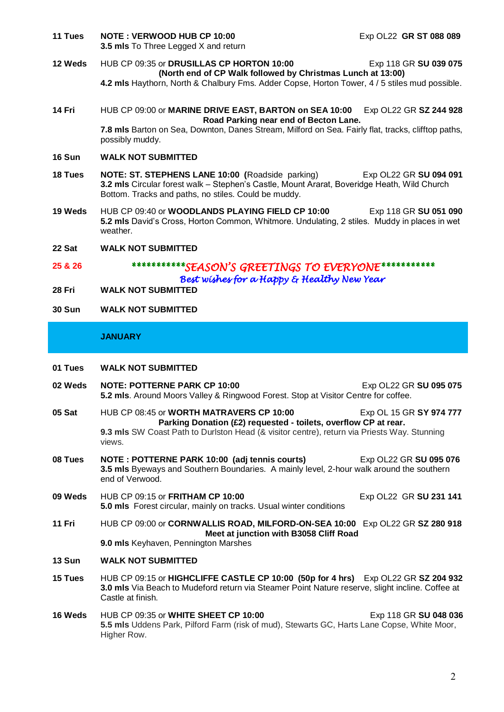- **11 Tues NOTE : VERWOOD HUB CP 10:00** Exp OL22 **GR ST 088 089 3.5 mls** To Three Legged X and return
- **12 Weds** HUB CP 09:35 or **DRUSILLAS CP HORTON 10:00** Exp 118 GR **SU 039 075 (North end of CP Walk followed by Christmas Lunch at 13:00) 4.2 mls** Haythorn, North & Chalbury Fms. Adder Copse, Horton Tower, 4 / 5 stiles mud possible.
- **14 Fri** HUB CP 09:00 or **MARINE DRIVE EAST, BARTON on SEA 10:00** Exp OL22 GR **SZ 244 928 Road Parking near end of Becton Lane. 7.8 mls** Barton on Sea, Downton, Danes Stream, Milford on Sea. Fairly flat, tracks, clifftop paths, possibly muddy.
- **16 Sun WALK NOT SUBMITTED**
- **18 Tues NOTE: ST. STEPHENS LANE 10:00 (**Roadside parking)Exp OL22 GR **SU 094 091 3.2 mls** Circular forest walk – Stephen's Castle, Mount Ararat, Boveridge Heath, Wild Church Bottom. Tracks and paths, no stiles. Could be muddy.
- **19 Weds** HUB CP 09:40 or **WOODLANDS PLAYING FIELD CP 10:00** Exp 118 GR **SU 051 090 5.2 mls** David's Cross, Horton Common, Whitmore. Undulating, 2 stiles. Muddy in places in wet weather.
- **22 Sat WALK NOT SUBMITTED**

# **25 & 26** *\*\*\*\*\*\*\*\*\*\*\*SEASON'S GREETINGS TO EVERYONE\*\*\*\*\*\*\*\*\*\*\* Best wishes for a Happy & Healthy New Year*

**28 Fri WALK NOT SUBMITTED**

## **30 Sun WALK NOT SUBMITTED**

## **JANUARY**

- **01 Tues WALK NOT SUBMITTED**
- **02 Weds NOTE: POTTERNE PARK CP 10:00** Exp OL22 GR **SU 095 075 5.2 mls**. Around Moors Valley & Ringwood Forest. Stop at Visitor Centre for coffee.
- **05 Sat HUB CP 08:45 or WORTH MATRAVERS CP 10:00** Exp OL 15 GR SY 974 777 **Parking Donation (£2) requested - toilets, overflow CP at rear. 9.3 mls** SW Coast Path to Durlston Head (& visitor centre), return via Priests Way. Stunning views.
- **08 Tues NOTE : POTTERNE PARK 10:00 (adj tennis courts)** Exp OL22 GR **SU 095 076 3.5 mls** Byeways and Southern Boundaries. A mainly level, 2-hour walk around the southern end of Verwood.
- **09 Weds** HUB CP 09:15 or FRITHAM CP 10:00 Exp OL22 GR SU 231 141 **5.0 mls** Forest circular, mainly on tracks. Usual winter conditions
- **11 Fri** HUB CP 09:00 or **CORNWALLIS ROAD, MILFORD-ON-SEA 10:00** Exp OL22 GR **SZ 280 918 Meet at junction with B3058 Cliff Road 9.0 mls** Keyhaven, Pennington Marshes

### **13 Sun WALK NOT SUBMITTED**

- **15 Tues** HUB CP 09:15 or **HIGHCLIFFE CASTLE CP 10:00 (50p for 4 hrs)** Exp OL22 GR **SZ 204 932 3.0 mls** Via Beach to Mudeford return via Steamer Point Nature reserve, slight incline. Coffee at Castle at finish.
- 16 Weds HUB CP 09:35 or WHITE SHEET CP 10:00 Exp 118 GR SU 048 036 **5.5 mls** Uddens Park, Pilford Farm (risk of mud), Stewarts GC, Harts Lane Copse, White Moor, Higher Row.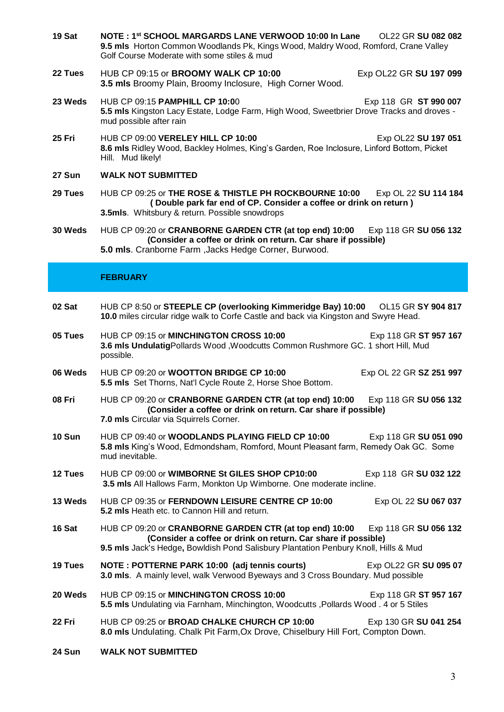- **19 Sat NOTE : 1st SCHOOL MARGARDS LANE VERWOOD 10:00 In Lane** OL22 GR **SU 082 082 9.5 mls** Horton Common Woodlands Pk, Kings Wood, Maldry Wood, Romford, Crane Valley Golf Course Moderate with some stiles & mud
- **22 Tues** HUB CP 09:15 or **BROOMY WALK CP 10:00** Exp OL22 GR **SU 197 099 3.5 mls** Broomy Plain, Broomy Inclosure, High Corner Wood.
- **23 Weds** HUB CP 09:15 **PAMPHILL CP 10:0**0 Exp 118 GR **ST 990 007 5.5 mls** Kingston Lacy Estate, Lodge Farm, High Wood, Sweetbrier Drove Tracks and droves mud possible after rain
- **25 Fri** HUB CP 09:00 **VERELEY HILL CP 10:00** Exp OL22 **SU 197 051 8.6 mls** Ridley Wood, Backley Holmes, King's Garden, Roe Inclosure, Linford Bottom, Picket Hill. Mud likely!
- **27 Sun WALK NOT SUBMITTED**
- **29 Tues** HUB CP 09:25 or **THE ROSE & THISTLE PH ROCKBOURNE 10:00** Exp OL 22 **SU 114 184 ( Double park far end of CP. Consider a coffee or drink on return ) 3.5mls**. Whitsbury & return. Possible snowdrops
- **30 Weds** HUB CP 09:20 or **CRANBORNE GARDEN CTR (at top end) 10:00** Exp 118 GR **SU 056 132 (Consider a coffee or drink on return. Car share if possible) 5.0 mls**. Cranborne Farm ,Jacks Hedge Corner, Burwood.

### **FEBRUARY**

| 02 Sat        | HUB CP 8:50 or STEEPLE CP (overlooking Kimmeridge Bay) 10:00 OL15 GR SY 904 817<br>10.0 miles circular ridge walk to Corfe Castle and back via Kingston and Swyre Head.                                                               |                         |  |
|---------------|---------------------------------------------------------------------------------------------------------------------------------------------------------------------------------------------------------------------------------------|-------------------------|--|
| 05 Tues       | HUB CP 09:15 or MINCHINGTON CROSS 10:00<br>3.6 mls UndulatigPollards Wood, Woodcutts Common Rushmore GC. 1 short Hill, Mud<br>possible.                                                                                               | Exp 118 GR ST 957 167   |  |
| 06 Weds       | HUB CP 09:20 or <b>WOOTTON BRIDGE CP 10:00</b><br>5.5 mls Set Thorns, Nat'l Cycle Route 2, Horse Shoe Bottom.                                                                                                                         | Exp OL 22 GR SZ 251 997 |  |
| 08 Fri        | HUB CP 09:20 or CRANBORNE GARDEN CTR (at top end) 10:00 Exp 118 GR SU 056 132<br>(Consider a coffee or drink on return. Car share if possible)<br>7.0 mls Circular via Squirrels Corner.                                              |                         |  |
| <b>10 Sun</b> | HUB CP 09:40 or WOODLANDS PLAYING FIELD CP 10:00<br>5.8 mls King's Wood, Edmondsham, Romford, Mount Pleasant farm, Remedy Oak GC. Some<br>mud inevitable.                                                                             | Exp 118 GR SU 051 090   |  |
| 12 Tues       | HUB CP 09:00 or WIMBORNE St GILES SHOP CP10:00<br>Exp 118 GR SU 032 122<br>3.5 mls All Hallows Farm, Monkton Up Wimborne. One moderate incline.                                                                                       |                         |  |
| 13 Weds       | HUB CP 09:35 or FERNDOWN LEISURE CENTRE CP 10:00<br>5.2 mls Heath etc. to Cannon Hill and return.                                                                                                                                     | Exp OL 22 SU 067 037    |  |
| 16 Sat        | HUB CP 09:20 or CRANBORNE GARDEN CTR (at top end) 10:00 Exp 118 GR SU 056 132<br>(Consider a coffee or drink on return. Car share if possible)<br>9.5 mls Jack's Hedge, Bowldish Pond Salisbury Plantation Penbury Knoll, Hills & Mud |                         |  |
| 19 Tues       | NOTE: POTTERNE PARK 10:00 (adj tennis courts)<br>3.0 mls. A mainly level, walk Verwood Byeways and 3 Cross Boundary. Mud possible                                                                                                     | Exp OL22 GR SU 095 07   |  |
| 20 Weds       | HUB CP 09:15 or MINCHINGTON CROSS 10:00<br>5.5 mls Undulating via Farnham, Minchington, Woodcutts, Pollards Wood. 4 or 5 Stiles                                                                                                       | Exp 118 GR ST 957 167   |  |
| 22 Fri        | HUB CP 09:25 or BROAD CHALKE CHURCH CP 10:00<br>8.0 mls Undulating. Chalk Pit Farm, Ox Drove, Chiselbury Hill Fort, Compton Down.                                                                                                     | Exp 130 GR SU 041 254   |  |
| 24 Sun        | <b>WALK NOT SUBMITTED</b>                                                                                                                                                                                                             |                         |  |